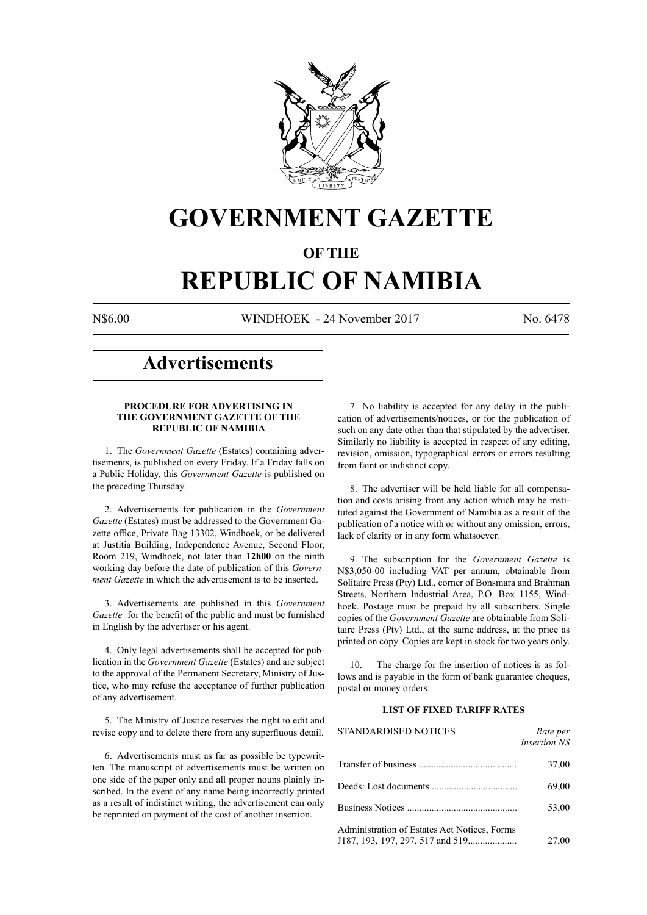

## **GOVERNMENT GAZETTE**

### **OF THE**

# **REPUBLIC OF NAMIBIA**

N\$6.00 WINDHOEK - 24 November 2017 No. 6478

### **Advertisements**

#### **PROCEDURE FOR ADVERTISING IN THE GOVERNMENT GAZETTE OF THE REPUBLIC OF NAMIBIA**

1. The *Government Gazette* (Estates) containing advertisements, is published on every Friday. If a Friday falls on a Public Holiday, this *Government Gazette* is published on the preceding Thursday.

2. Advertisements for publication in the *Government Gazette* (Estates) must be addressed to the Government Gazette office, Private Bag 13302, Windhoek, or be delivered at Justitia Building, Independence Avenue, Second Floor, Room 219, Windhoek, not later than **12h00** on the ninth working day before the date of publication of this *Government Gazette* in which the advertisement is to be inserted.

3. Advertisements are published in this *Government Gazette* for the benefit of the public and must be furnished in English by the advertiser or his agent.

4. Only legal advertisements shall be accepted for publication in the *Government Gazette* (Estates) and are subject to the approval of the Permanent Secretary, Ministry of Justice, who may refuse the acceptance of further publication of any advertisement.

5. The Ministry of Justice reserves the right to edit and revise copy and to delete there from any superfluous detail.

6. Advertisements must as far as possible be typewritten. The manuscript of advertisements must be written on one side of the paper only and all proper nouns plainly inscribed. In the event of any name being incorrectly printed as a result of indistinct writing, the advertisement can only be reprinted on payment of the cost of another insertion.

7. No liability is accepted for any delay in the publication of advertisements/notices, or for the publication of such on any date other than that stipulated by the advertiser. Similarly no liability is accepted in respect of any editing, revision, omission, typographical errors or errors resulting from faint or indistinct copy.

8. The advertiser will be held liable for all compensation and costs arising from any action which may be instituted against the Government of Namibia as a result of the publication of a notice with or without any omission, errors, lack of clarity or in any form whatsoever.

9. The subscription for the *Government Gazette* is N\$3,050-00 including VAT per annum, obtainable from Solitaire Press (Pty) Ltd., corner of Bonsmara and Brahman Streets, Northern Industrial Area, P.O. Box 1155, Windhoek. Postage must be prepaid by all subscribers. Single copies of the *Government Gazette* are obtainable from Solitaire Press (Pty) Ltd., at the same address, at the price as printed on copy. Copies are kept in stock for two years only.

10. The charge for the insertion of notices is as follows and is payable in the form of bank guarantee cheques, postal or money orders:

#### **LIST OF FIXED TARIFF RATES**

| <b>STANDARDISED NOTICES</b>                  | Rate per<br><i>insertion NS</i> |
|----------------------------------------------|---------------------------------|
|                                              | 37,00                           |
|                                              | 69,00                           |
|                                              | 53,00                           |
| Administration of Estates Act Notices, Forms | 27,00                           |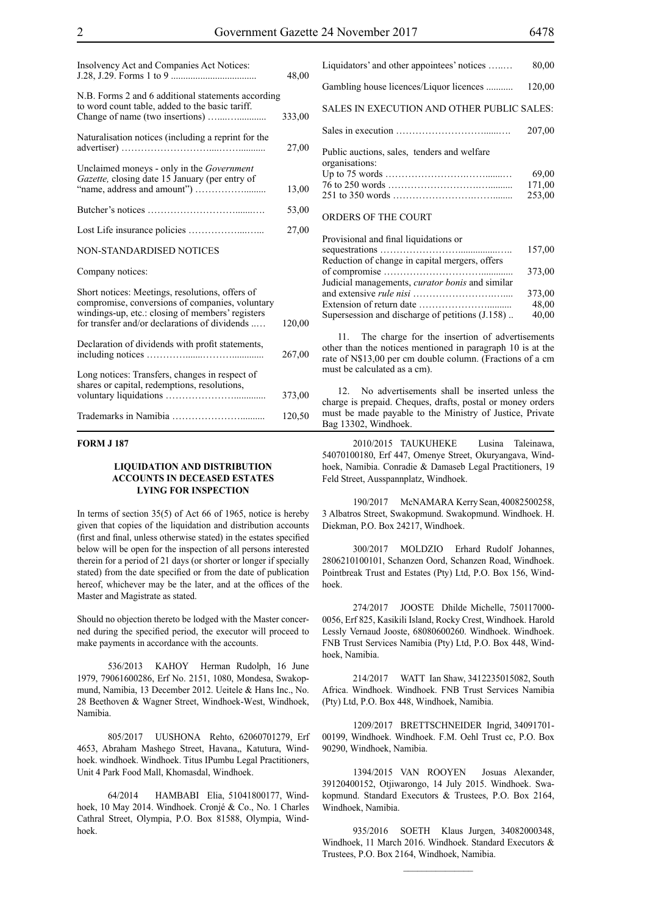| Insolvency Act and Companies Act Notices:                                                                                                                                                               | 48,00  |
|---------------------------------------------------------------------------------------------------------------------------------------------------------------------------------------------------------|--------|
| N.B. Forms 2 and 6 additional statements according<br>to word count table, added to the basic tariff.                                                                                                   | 333,00 |
| Naturalisation notices (including a reprint for the                                                                                                                                                     | 27,00  |
| Unclaimed moneys - only in the <i>Government</i><br>Gazette, closing date 15 January (per entry of                                                                                                      | 13,00  |
|                                                                                                                                                                                                         | 53,00  |
|                                                                                                                                                                                                         | 27,00  |
| NON-STANDARDISED NOTICES                                                                                                                                                                                |        |
| Company notices:                                                                                                                                                                                        |        |
| Short notices: Meetings, resolutions, offers of<br>compromise, conversions of companies, voluntary<br>windings-up, etc.: closing of members' registers<br>for transfer and/or declarations of dividends | 120,00 |
| Declaration of dividends with profit statements,                                                                                                                                                        | 267,00 |
| Long notices: Transfers, changes in respect of<br>shares or capital, redemptions, resolutions,                                                                                                          | 373,00 |
|                                                                                                                                                                                                         | 120,50 |

#### **FORM J 187**

#### **LIQUIDATION AND DISTRIBUTION ACCOUNTS IN DECEASED ESTATES LYING FOR INSPECTION**

In terms of section 35(5) of Act 66 of 1965, notice is hereby given that copies of the liquidation and distribution accounts (first and final, unless otherwise stated) in the estates specified below will be open for the inspection of all persons interested therein for a period of 21 days (or shorter or longer if specially stated) from the date specified or from the date of publication hereof, whichever may be the later, and at the offices of the Master and Magistrate as stated.

Should no objection thereto be lodged with the Master concerned during the specified period, the executor will proceed to make payments in accordance with the accounts.

536/2013 KAHOY Herman Rudolph, 16 June 1979, 79061600286, Erf No. 2151, 1080, Mondesa, Swakopmund, Namibia, 13 December 2012. Ueitele & Hans Inc., No. 28 Beethoven & Wagner Street, Windhoek-West, Windhoek, Namibia.

805/2017 UUSHONA Rehto, 62060701279, Erf 4653, Abraham Mashego Street, Havana,, Katutura, Windhoek. windhoek. Windhoek. Titus IPumbu Legal Practitioners, Unit 4 Park Food Mall, Khomasdal, Windhoek.

64/2014 HAMBABI Elia, 51041800177, Windhoek, 10 May 2014. Windhoek. Cronjé & Co., No. 1 Charles Cathral Street, Olympia, P.O. Box 81588, Olympia, Windhoek.

| Liquidators' and other appointees' notices                    | 80,00  |
|---------------------------------------------------------------|--------|
| Gambling house licences/Liquor licences                       | 120,00 |
| SALES IN EXECUTION AND OTHER PUBLIC SALES:                    |        |
|                                                               | 207,00 |
| Public auctions, sales, tenders and welfare<br>organisations: |        |
|                                                               | 69,00  |
|                                                               | 171,00 |
|                                                               | 253,00 |
| <b>ORDERS OF THE COURT</b>                                    |        |

| Provisional and final liquidations or                  |        |
|--------------------------------------------------------|--------|
|                                                        | 157,00 |
| Reduction of change in capital mergers, offers         |        |
|                                                        | 373,00 |
| Judicial managements, <i>curator bonis</i> and similar |        |
|                                                        | 373,00 |
|                                                        | 48,00  |
| Supersession and discharge of petitions (J.158)        | 40,00  |

11. The charge for the insertion of advertisements other than the notices mentioned in paragraph 10 is at the rate of N\$13,00 per cm double column. (Fractions of a cm must be calculated as a cm).

12. No advertisements shall be inserted unless the charge is prepaid. Cheques, drafts, postal or money orders must be made payable to the Ministry of Justice, Private Bag 13302, Windhoek.

2010/2015 TAUKUHEKE Lusina Taleinawa, 54070100180, Erf 447, Omenye Street, Okuryangava, Windhoek, Namibia. Conradie & Damaseb Legal Practitioners, 19 Feld Street, Ausspannplatz, Windhoek.

190/2017 McNAMARA Kerry Sean, 40082500258, 3 Albatros Street, Swakopmund. Swakopmund. Windhoek. H. Diekman, P.O. Box 24217, Windhoek.

300/2017 MOLDZIO Erhard Rudolf Johannes, 2806210100101, Schanzen Oord, Schanzen Road, Windhoek. Pointbreak Trust and Estates (Pty) Ltd, P.O. Box 156, Windhoek.

274/2017 JOOSTE Dhilde Michelle, 750117000- 0056, Erf 825, Kasikili Island, Rocky Crest, Windhoek. Harold Lessly Vernaud Jooste, 68080600260. Windhoek. Windhoek. FNB Trust Services Namibia (Pty) Ltd, P.O. Box 448, Windhoek, Namibia.

214/2017 WATT Ian Shaw, 3412235015082, South Africa. Windhoek. Windhoek. FNB Trust Services Namibia (Pty) Ltd, P.O. Box 448, Windhoek, Namibia.

1209/2017 BRETTSCHNEIDER Ingrid, 34091701- 00199, Windhoek. Windhoek. F.M. Oehl Trust cc, P.O. Box 90290, Windhoek, Namibia.

1394/2015 VAN ROOYEN Josuas Alexander, 39120400152, Otjiwarongo, 14 July 2015. Windhoek. Swakopmund. Standard Executors & Trustees, P.O. Box 2164, Windhoek, Namibia.

935/2016 SOETH Klaus Jurgen, 34082000348, Windhoek, 11 March 2016. Windhoek. Standard Executors & Trustees, P.O. Box 2164, Windhoek, Namibia.

 $\frac{1}{2}$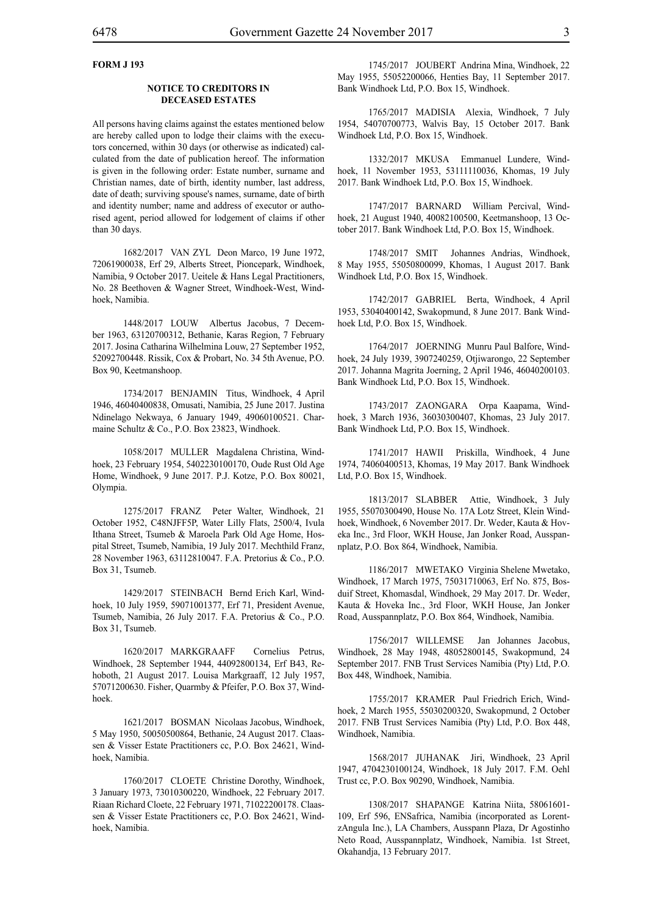#### **FORM J 193**

#### **NOTICE TO CREDITORS IN DECEASED ESTATES**

All persons having claims against the estates mentioned below are hereby called upon to lodge their claims with the executors concerned, within 30 days (or otherwise as indicated) calculated from the date of publication hereof. The information is given in the following order: Estate number, surname and Christian names, date of birth, identity number, last address, date of death; surviving spouse's names, surname, date of birth and identity number; name and address of executor or authorised agent, period allowed for lodgement of claims if other than 30 days.

1682/2017 VAN ZYL Deon Marco, 19 June 1972, 72061900038, Erf 29, Alberts Street, Pioncepark, Windhoek, Namibia, 9 October 2017. Ueitele & Hans Legal Practitioners, No. 28 Beethoven & Wagner Street, Windhoek-West, Windhoek, Namibia.

1448/2017 LOUW Albertus Jacobus, 7 December 1963, 63120700312, Bethanie, Karas Region, 7 February 2017. Josina Catharina Wilhelmina Louw, 27 September 1952, 52092700448. Rissik, Cox & Probart, No. 34 5th Avenue, P.O. Box 90, Keetmanshoop.

1734/2017 BENJAMIN Titus, Windhoek, 4 April 1946, 46040400838, Omusati, Namibia, 25 June 2017. Justina Ndinelago Nekwaya, 6 January 1949, 49060100521. Charmaine Schultz & Co., P.O. Box 23823, Windhoek.

1058/2017 MULLER Magdalena Christina, Windhoek, 23 February 1954, 5402230100170, Oude Rust Old Age Home, Windhoek, 9 June 2017. P.J. Kotze, P.O. Box 80021, Olympia.

1275/2017 FRANZ Peter Walter, Windhoek, 21 October 1952, C48NJFF5P, Water Lilly Flats, 2500/4, Ivula Ithana Street, Tsumeb & Maroela Park Old Age Home, Hospital Street, Tsumeb, Namibia, 19 July 2017. Mechthild Franz, 28 November 1963, 63112810047. F.A. Pretorius & Co., P.O. Box 31, Tsumeb.

1429/2017 STEINBACH Bernd Erich Karl, Windhoek, 10 July 1959, 59071001377, Erf 71, President Avenue, Tsumeb, Namibia, 26 July 2017. F.A. Pretorius & Co., P.O. Box 31, Tsumeb.

1620/2017 MARKGRAAFF Cornelius Petrus, Windhoek, 28 September 1944, 44092800134, Erf B43, Rehoboth, 21 August 2017. Louisa Markgraaff, 12 July 1957, 57071200630. Fisher, Quarmby & Pfeifer, P.O. Box 37, Windhoek.

1621/2017 BOSMAN Nicolaas Jacobus, Windhoek, 5 May 1950, 50050500864, Bethanie, 24 August 2017. Claassen & Visser Estate Practitioners cc, P.O. Box 24621, Windhoek, Namibia.

1760/2017 CLOETE Christine Dorothy, Windhoek, 3 January 1973, 73010300220, Windhoek, 22 February 2017. Riaan Richard Cloete, 22 February 1971, 71022200178. Claassen & Visser Estate Practitioners cc, P.O. Box 24621, Windhoek, Namibia.

1745/2017 JOUBERT Andrina Mina, Windhoek, 22 May 1955, 55052200066, Henties Bay, 11 September 2017. Bank Windhoek Ltd, P.O. Box 15, Windhoek.

1765/2017 MADISIA Alexia, Windhoek, 7 July 1954, 54070700773, Walvis Bay, 15 October 2017. Bank Windhoek Ltd, P.O. Box 15, Windhoek.

1332/2017 MKUSA Emmanuel Lundere, Windhoek, 11 November 1953, 53111110036, Khomas, 19 July 2017. Bank Windhoek Ltd, P.O. Box 15, Windhoek.

1747/2017 BARNARD William Percival, Windhoek, 21 August 1940, 40082100500, Keetmanshoop, 13 October 2017. Bank Windhoek Ltd, P.O. Box 15, Windhoek.

1748/2017 SMIT Johannes Andrias, Windhoek, 8 May 1955, 55050800099, Khomas, 1 August 2017. Bank Windhoek Ltd, P.O. Box 15, Windhoek.

1742/2017 GABRIEL Berta, Windhoek, 4 April 1953, 53040400142, Swakopmund, 8 June 2017. Bank Windhoek Ltd, P.O. Box 15, Windhoek.

1764/2017 JOERNING Munru Paul Balfore, Windhoek, 24 July 1939, 3907240259, Otjiwarongo, 22 September 2017. Johanna Magrita Joerning, 2 April 1946, 46040200103. Bank Windhoek Ltd, P.O. Box 15, Windhoek.

1743/2017 ZAONGARA Orpa Kaapama, Windhoek, 3 March 1936, 36030300407, Khomas, 23 July 2017. Bank Windhoek Ltd, P.O. Box 15, Windhoek.

1741/2017 HAWII Priskilla, Windhoek, 4 June 1974, 74060400513, Khomas, 19 May 2017. Bank Windhoek Ltd, P.O. Box 15, Windhoek.

1813/2017 SLABBER Attie, Windhoek, 3 July 1955, 55070300490, House No. 17A Lotz Street, Klein Windhoek, Windhoek, 6 November 2017. Dr. Weder, Kauta & Hoveka Inc., 3rd Floor, WKH House, Jan Jonker Road, Ausspannplatz, P.O. Box 864, Windhoek, Namibia.

1186/2017 MWETAKO Virginia Shelene Mwetako, Windhoek, 17 March 1975, 75031710063, Erf No. 875, Bosduif Street, Khomasdal, Windhoek, 29 May 2017. Dr. Weder, Kauta & Hoveka Inc., 3rd Floor, WKH House, Jan Jonker Road, Ausspannplatz, P.O. Box 864, Windhoek, Namibia.

1756/2017 WILLEMSE Jan Johannes Jacobus, Windhoek, 28 May 1948, 48052800145, Swakopmund, 24 September 2017. FNB Trust Services Namibia (Pty) Ltd, P.O. Box 448, Windhoek, Namibia.

1755/2017 KRAMER Paul Friedrich Erich, Windhoek, 2 March 1955, 55030200320, Swakopmund, 2 October 2017. FNB Trust Services Namibia (Pty) Ltd, P.O. Box 448, Windhoek, Namibia.

1568/2017 JUHANAK Jiri, Windhoek, 23 April 1947, 4704230100124, Windhoek, 18 July 2017. F.M. Oehl Trust cc, P.O. Box 90290, Windhoek, Namibia.

1308/2017 SHAPANGE Katrina Niita, 58061601- 109, Erf 596, ENSafrica, Namibia (incorporated as LorentzAngula Inc.), LA Chambers, Ausspann Plaza, Dr Agostinho Neto Road, Ausspannplatz, Windhoek, Namibia. 1st Street, Okahandja, 13 February 2017.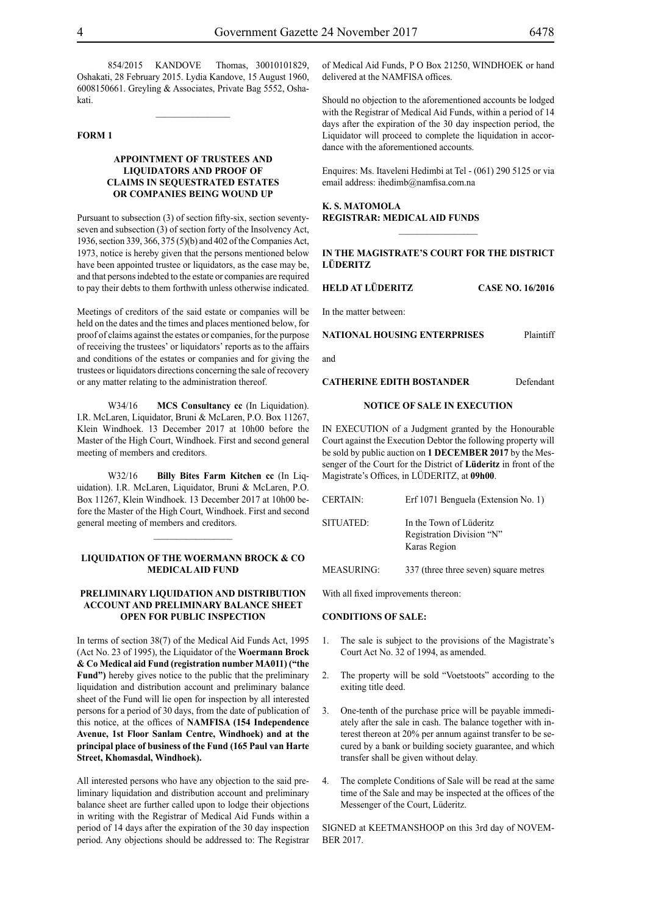854/2015 KANDOVE Thomas, 30010101829, Oshakati, 28 February 2015. Lydia Kandove, 15 August 1960, 6008150661. Greyling & Associates, Private Bag 5552, Oshakati.

#### **FORM 1**

#### **APPOINTMENT OF TRUSTEES AND LIQUIDATORS AND PROOF OF CLAIMS IN SEQUESTRATED ESTATES OR COMPANIES BEING WOUND UP**

Pursuant to subsection (3) of section fifty-six, section seventyseven and subsection (3) of section forty of the Insolvency Act, 1936, section 339, 366, 375 (5)(b) and 402 of the Companies Act, 1973, notice is hereby given that the persons mentioned below have been appointed trustee or liquidators, as the case may be, and that persons indebted to the estate or companies are required to pay their debts to them forthwith unless otherwise indicated.

Meetings of creditors of the said estate or companies will be held on the dates and the times and places mentioned below, for proof of claims against the estates or companies, for the purpose of receiving the trustees' or liquidators' reports as to the affairs and conditions of the estates or companies and for giving the trustees or liquidators directions concerning the sale of recovery or any matter relating to the administration thereof.

W34/16 **MCS Consultancy cc** (In Liquidation). I.R. McLaren, Liquidator, Bruni & McLaren, P.O. Box 11267, Klein Windhoek. 13 December 2017 at 10h00 before the Master of the High Court, Windhoek. First and second general meeting of members and creditors.

W32/16 **Billy Bites Farm Kitchen cc** (In Liquidation). I.R. McLaren, Liquidator, Bruni & McLaren, P.O. Box 11267, Klein Windhoek. 13 December 2017 at 10h00 before the Master of the High Court, Windhoek. First and second general meeting of members and creditors.

#### **LIQUIDATION OF THE WOERMANN BROCK & CO MEDICAL AID FUND**

 $\frac{1}{2}$ 

#### **PRELIMINARY LIQUIDATION AND DISTRIBUTION ACCOUNT AND PRELIMINARY BALANCE SHEET OPEN FOR PUBLIC INSPECTION**

In terms of section 38(7) of the Medical Aid Funds Act, 1995 (Act No. 23 of 1995), the Liquidator of the **Woermann Brock & Co Medical aid Fund (registration number MA011) ("the Fund")** hereby gives notice to the public that the preliminary liquidation and distribution account and preliminary balance sheet of the Fund will lie open for inspection by all interested persons for a period of 30 days, from the date of publication of this notice, at the offices of **NAMFISA (154 Independence Avenue, 1st Floor Sanlam Centre, Windhoek) and at the principal place of business of the Fund (165 Paul van Harte Street, Khomasdal, Windhoek).**

All interested persons who have any objection to the said preliminary liquidation and distribution account and preliminary balance sheet are further called upon to lodge their objections in writing with the Registrar of Medical Aid Funds within a period of 14 days after the expiration of the 30 day inspection period. Any objections should be addressed to: The Registrar

of Medical Aid Funds, P O Box 21250, WINDHOEK or hand delivered at the NAMFISA offices.

Should no objection to the aforementioned accounts be lodged with the Registrar of Medical Aid Funds, within a period of 14 days after the expiration of the 30 day inspection period, the Liquidator will proceed to complete the liquidation in accordance with the aforementioned accounts.

Enquires: Ms. Itaveleni Hedimbi at Tel - (061) 290 5125 or via email address: ihedimb@namfisa.com.na

**K. S. MATOMOLA REGISTRAR: MEDICAL AID FUNDS**

#### **IN THE MAGISTRATE'S COURT FOR THE DISTRICT LÜDERITZ**

**HELD AT LÜDERITZ CASE NO. 16/2016**

In the matter between:

**NATIONAL HOUSING ENTERPRISES** Plaintiff

and

**CATHERINE EDITH BOSTANDER** Defendant

#### **NOTICE OF SALE IN EXECUTION**

IN EXECUTION of a Judgment granted by the Honourable Court against the Execution Debtor the following property will be sold by public auction on **1 DECEMBER 2017** by the Messenger of the Court for the District of **Lüderitz** in front of the Magistrate's Offices, in LÜDERITZ, at **09h00**.

| <b>CERTAIN:</b>   | Erf 1071 Benguela (Extension No. 1)                                  |
|-------------------|----------------------------------------------------------------------|
| SITUATED:         | In the Town of Lüderitz<br>Registration Division "N"<br>Karas Region |
| <b>MEASURING:</b> | 337 (three three seven) square metres                                |

With all fixed improvements thereon:

#### **CONDITIONS OF SALE:**

- 1. The sale is subject to the provisions of the Magistrate's Court Act No. 32 of 1994, as amended.
- 2. The property will be sold "Voetstoots" according to the exiting title deed.
- 3. One-tenth of the purchase price will be payable immediately after the sale in cash. The balance together with interest thereon at 20% per annum against transfer to be secured by a bank or building society guarantee, and which transfer shall be given without delay.
- 4. The complete Conditions of Sale will be read at the same time of the Sale and may be inspected at the offices of the Messenger of the Court, Lüderitz.

SIGNED at KEETMANSHOOP on this 3rd day of NOVEM-BER 2017.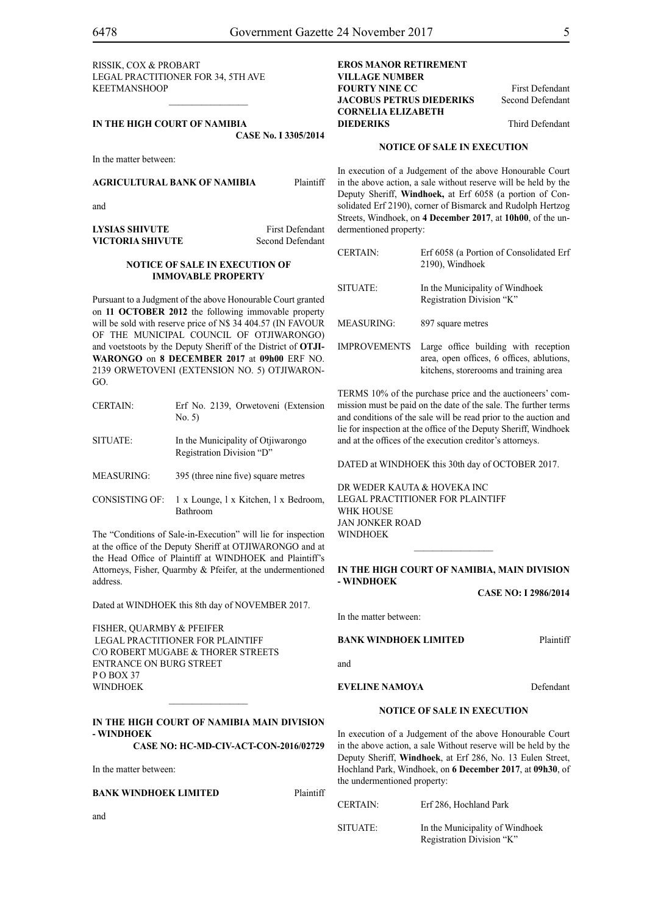RISSIK, COX & PROBART Legal Practitioner for 34, 5th Ave KEETMANSHOOP

#### **IN THE HIGH COURT OF NAMIBIA CASE No. I 3305/2014**

 $\frac{1}{2}$ 

In the matter between:

#### **AGRICULTURAL BANK OF NAMIBIA** Plaintiff

and

**LYSIAS SHIVUTE** First Defendant **VICTORIA SHIVUTE** Second Defendant

#### **NOTICE OF SALE IN EXECUTION OF IMMOVABLE PROPERTY**

Pursuant to a Judgment of the above Honourable Court granted on **11 OCTOBER 2012** the following immovable property will be sold with reserve price of N\$ 34 404.57 (IN FAVOUR OF THE MUNICIPAL COUNCIL OF OTJIWARONGO) and voetstoots by the Deputy Sheriff of the District of **OTJI-WARONGO** on **8 DECEMBER 2017** at **09h00** ERF NO. 2139 ORWETOVENI (EXTENSION NO. 5) OTJIWARON-GO.

| <b>CERTAIN:</b>   | Erf No. 2139, Orwetoveni (Extension<br>No. 5)                   |
|-------------------|-----------------------------------------------------------------|
| SITUATE:          | In the Municipality of Otjiwarongo<br>Registration Division "D" |
| <b>MEASURING:</b> | 395 (three nine five) square metres                             |
| CONSISTING OF     | 1 v Lounge 1 v Kitchen 1 v Bedroom                              |

CONSISTING OF: 1 x Lounge, l x Kitchen, l x Bedroom, Bathroom

The "Conditions of Sale-in-Execution" will lie for inspection at the office of the Deputy Sheriff at OTJIWARONGO and at the Head Office of Plaintiff at WINDHOEK and Plaintiff's Attorneys, Fisher, Quarmby & Pfeifer, at the undermentioned address.

Dated at WINDHOEK this 8th day of NOVEMBER 2017.

FISHER, QUARMBY & PFEIFER LEGAL PRACTITIONER FOR Plaintiff c/o Robert Mugabe & Thorer Streets entrance on Burg Street  $P \cap R O X 37$ WINDHOEK

#### **IN THE HIGH COURT OF NAMIBIA MAIN DIVISION - WINDHOEK**

 $\frac{1}{2}$ 

**CASE NO: HC-MD-CIV-ACT-CON-2016/02729**

In the matter between:

#### **BANK WINDHOEK LIMITED** Plaintiff

and

**EROS MANOR RETIREMENT VILLAGE NUMBER FOURTY NINE CC** First Defendant **JACOBUS PETRUS DIEDERIKS** Second Defendant **CORNELIA ELIZABETH DIEDERIKS** Third Defendant

#### **NOTICE OF SALE IN EXECUTION**

In execution of a Judgement of the above Honourable Court in the above action, a sale without reserve will be held by the Deputy Sheriff, **Windhoek,** at Erf 6058 (a portion of Consolidated Erf 2190), corner of Bismarck and Rudolph Hertzog Streets, Windhoek, on **4 December 2017**, at **10h00**, of the undermentioned property:

| <b>CERTAIN:</b>     | Erf 6058 (a Portion of Consolidated Erf<br>2190), Windhoek                                                                  |
|---------------------|-----------------------------------------------------------------------------------------------------------------------------|
| <b>SITUATE:</b>     | In the Municipality of Windhoek<br>Registration Division "K"                                                                |
| MEASURING:          | 897 square metres                                                                                                           |
| <b>IMPROVEMENTS</b> | Large office building with reception<br>area, open offices, 6 offices, ablutions,<br>kitchens, storerooms and training area |

TERMS 10% of the purchase price and the auctioneers' commission must be paid on the date of the sale. The further terms and conditions of the sale will be read prior to the auction and lie for inspection at the office of the Deputy Sheriff, Windhoek and at the offices of the execution creditor's attorneys.

DATED at WINDHOEK this 30th day of OCTOBER 2017.

DR WEDER KAUTA & HOVEKA INC Legal Practitioner for Plaintiff WHK HOUSE Jan Jonker Road WINDHOEK

#### **IN THE HIGH COURT OF NAMIBIA, MAIN DIVISION - WINDHOEK**

 $\frac{1}{2}$ 

**CASE NO: I 2986/2014**

In the matter between:

**BANK WINDHOEK LIMITED** Plaintiff

and

**EVELINE NAMOYA** Defendant

#### **NOTICE OF SALE IN EXECUTION**

In execution of a Judgement of the above Honourable Court in the above action, a sale Without reserve will be held by the Deputy Sheriff, **Windhoek**, at Erf 286, No. 13 Eulen Street, Hochland Park, Windhoek, on **6 December 2017**, at **09h30**, of the undermentioned property:

| <b>CERTAIN:</b> | Erf 286, Hochland Park                                       |
|-----------------|--------------------------------------------------------------|
| SITUATE:        | In the Municipality of Windhoek<br>Registration Division "K" |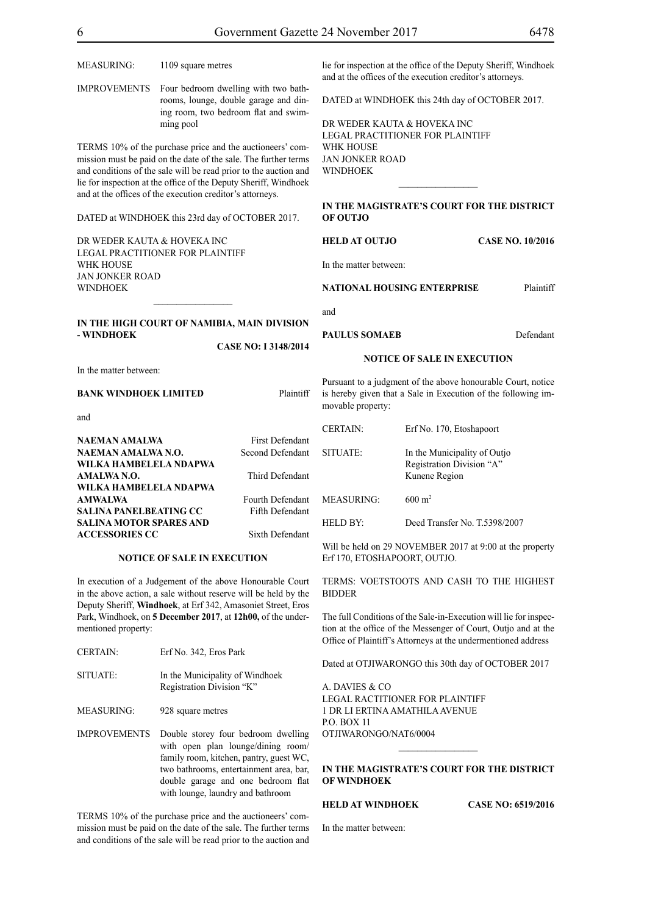| MEASURING:                                                                                                                                                                                                                                                                                                                        | 1109 square metres                 |                                                                                                                     |                                                        | lie for inspection at the office of the Deputy Sheriff, Windhoek<br>and at the offices of the execution creditor's attorneys. |                         |
|-----------------------------------------------------------------------------------------------------------------------------------------------------------------------------------------------------------------------------------------------------------------------------------------------------------------------------------|------------------------------------|---------------------------------------------------------------------------------------------------------------------|--------------------------------------------------------|-------------------------------------------------------------------------------------------------------------------------------|-------------------------|
| Four bedroom dwelling with two bath-<br>IMPROVEMENTS<br>rooms, lounge, double garage and din-<br>ing room, two bedroom flat and swim-<br>ming pool                                                                                                                                                                                |                                    | DATED at WINDHOEK this 24th day of OCTOBER 2017.<br>DR WEDER KAUTA & HOVEKA INC<br>LEGAL PRACTITIONER FOR PLAINTIFF |                                                        |                                                                                                                               |                         |
| TERMS 10% of the purchase price and the auctioneers' com-<br>mission must be paid on the date of the sale. The further terms<br>and conditions of the sale will be read prior to the auction and<br>lie for inspection at the office of the Deputy Sheriff, Windhoek<br>and at the offices of the execution creditor's attorneys. |                                    |                                                                                                                     | WHK HOUSE<br><b>JAN JONKER ROAD</b><br><b>WINDHOEK</b> |                                                                                                                               |                         |
| DATED at WINDHOEK this 23rd day of OCTOBER 2017.                                                                                                                                                                                                                                                                                  |                                    |                                                                                                                     | OF OUTJO                                               | IN THE MAGISTRATE'S COURT FOR THE DISTRICT                                                                                    |                         |
| DR WEDER KAUTA & HOVEKA INC                                                                                                                                                                                                                                                                                                       |                                    |                                                                                                                     | <b>HELD AT OUTJO</b>                                   |                                                                                                                               | <b>CASE NO. 10/2016</b> |
| LEGAL PRACTITIONER FOR PLAINTIFF<br>WHK HOUSE<br>JAN JONKER ROAD                                                                                                                                                                                                                                                                  |                                    |                                                                                                                     | In the matter between:                                 |                                                                                                                               |                         |
| WINDHOEK                                                                                                                                                                                                                                                                                                                          |                                    |                                                                                                                     |                                                        | <b>NATIONAL HOUSING ENTERPRISE</b>                                                                                            | Plaintiff               |
|                                                                                                                                                                                                                                                                                                                                   |                                    |                                                                                                                     | and                                                    |                                                                                                                               |                         |
| IN THE HIGH COURT OF NAMIBIA, MAIN DIVISION<br>- WINDHOEK                                                                                                                                                                                                                                                                         |                                    |                                                                                                                     | <b>PAULUS SOMAEB</b>                                   |                                                                                                                               | Defendant               |
|                                                                                                                                                                                                                                                                                                                                   |                                    | CASE NO: I 3148/2014                                                                                                |                                                        |                                                                                                                               |                         |
|                                                                                                                                                                                                                                                                                                                                   |                                    |                                                                                                                     |                                                        | <b>NOTICE OF SALE IN EXECUTION</b>                                                                                            |                         |
| In the matter between:                                                                                                                                                                                                                                                                                                            |                                    |                                                                                                                     |                                                        |                                                                                                                               |                         |
| BANK WINDHOEK LIMITED                                                                                                                                                                                                                                                                                                             |                                    | Plaintiff                                                                                                           | movable property:                                      | Pursuant to a judgment of the above honourable Court, notice<br>is hereby given that a Sale in Execution of the following im- |                         |
| and                                                                                                                                                                                                                                                                                                                               |                                    |                                                                                                                     |                                                        |                                                                                                                               |                         |
|                                                                                                                                                                                                                                                                                                                                   |                                    |                                                                                                                     | <b>CERTAIN:</b>                                        | Erf No. 170, Etoshapoort                                                                                                      |                         |
| NAEMAN AMALWA                                                                                                                                                                                                                                                                                                                     |                                    | <b>First Defendant</b>                                                                                              |                                                        |                                                                                                                               |                         |
| NAEMAN AMALWA N.O.<br>WILKA HAMBELELA NDAPWA                                                                                                                                                                                                                                                                                      |                                    | Second Defendant                                                                                                    | SITUATE:                                               | In the Municipality of Outjo<br>Registration Division "A"                                                                     |                         |
| AMALWA N.O.                                                                                                                                                                                                                                                                                                                       |                                    | Third Defendant                                                                                                     |                                                        | Kunene Region                                                                                                                 |                         |
| WILKA HAMBELELA NDAPWA                                                                                                                                                                                                                                                                                                            |                                    |                                                                                                                     |                                                        |                                                                                                                               |                         |
| AMWALWA                                                                                                                                                                                                                                                                                                                           |                                    | Fourth Defendant                                                                                                    | <b>MEASURING:</b>                                      | $600 \; \mathrm{m}^2$                                                                                                         |                         |
| SALINA PANELBEATING CC                                                                                                                                                                                                                                                                                                            |                                    | Fifth Defendant                                                                                                     |                                                        |                                                                                                                               |                         |
| SALINA MOTOR SPARES AND                                                                                                                                                                                                                                                                                                           |                                    |                                                                                                                     | HELD BY:                                               | Deed Transfer No. T.5398/2007                                                                                                 |                         |
| <b>ACCESSORIES CC</b>                                                                                                                                                                                                                                                                                                             |                                    | Sixth Defendant                                                                                                     |                                                        |                                                                                                                               |                         |
|                                                                                                                                                                                                                                                                                                                                   |                                    |                                                                                                                     |                                                        | Will be held on 29 NOVEMBER 2017 at 9:00 at the property                                                                      |                         |
|                                                                                                                                                                                                                                                                                                                                   | <b>NOTICE OF SALE IN EXECUTION</b> |                                                                                                                     | Erf 170, ETOSHAPOORT, OUTJO.                           |                                                                                                                               |                         |
| In execution of a Judgement of the above Honourable Court<br>in the above action, a sale without reserve will be held by the<br>Deputy Sheriff. Windhoek. at Erf 342. Amasoniet Street. Eros                                                                                                                                      |                                    |                                                                                                                     | <b>BIDDER</b>                                          | TERMS: VOETSTOOTS AND CASH TO THE HIGHEST                                                                                     |                         |

The full Conditions of the Sale-in-Execution will lie for inspection at the office of the Messenger of Court, Outjo and at the Office of Plaintiff's Attorneys at the undermentioned address

Dated at OTJIWARONGO this 30th day of OCTOBER 2017

A. DAVIES & CO LEGAL RACTITIONER FOR Plaintiff 1 DR LI ERTINA AMATHILA AVENUE P.O. BOX 11 OTJIWARONGO/NAT6/0004

#### **IN THE MAGISTRATE'S COURT FOR THE DISTRICT OF WINDHOEK**

#### **HELD AT WINDHOEK CASE NO: 6519/2016**

In the matter between:

In execution of a Judgement of the above Honourable Court in the above action, a sale without reserve will be held by the Deputy Sheriff, **Windhoek**, at Erf 342, Amasoniet Street, Eros Park, Windhoek, on **5 December 2017**, at **12h00,** of the undermentioned property:

| <b>CERTAIN:</b>     | Erf No. 342, Eros Park                                                                                                                                                                                                                     |
|---------------------|--------------------------------------------------------------------------------------------------------------------------------------------------------------------------------------------------------------------------------------------|
| SITUATE:            | In the Municipality of Windhoek<br>Registration Division "K"                                                                                                                                                                               |
| MEASURING:          | 928 square metres                                                                                                                                                                                                                          |
| <b>IMPROVEMENTS</b> | Double storey four bedroom dwelling<br>with open plan lounge/dining room/<br>family room, kitchen, pantry, guest WC,<br>two bathrooms, entertainment area, bar,<br>double garage and one bedroom flat<br>with lounge, laundry and bathroom |

TERMS 10% of the purchase price and the auctioneers' commission must be paid on the date of the sale. The further terms and conditions of the sale will be read prior to the auction and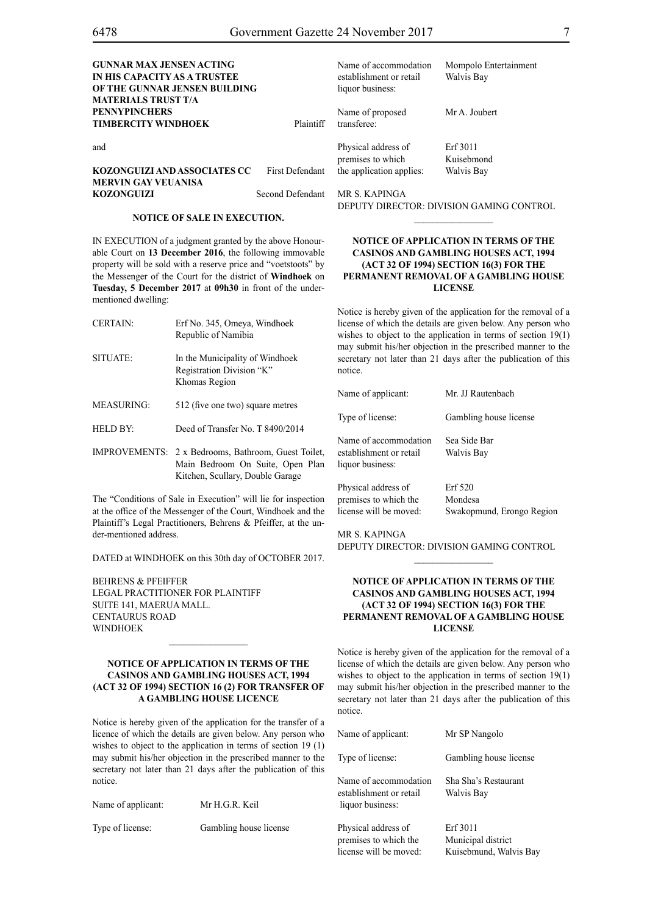| <b>GUNNAR MAX JENSEN ACTING</b><br>IN HIS CAPACITY AS A TRUSTEE<br>OF THE GUNNAR JENSEN BUILDING<br><b>MATERIALS TRUST T/A</b> |                        | Name of accommodation<br>establishment or retail<br>liquor business: | Mompolo Entertainment<br>Walvis Bay |
|--------------------------------------------------------------------------------------------------------------------------------|------------------------|----------------------------------------------------------------------|-------------------------------------|
| <b>PENNYPINCHERS</b><br><b>TIMBERCITY WINDHOEK</b>                                                                             | Plaintiff              | Name of proposed<br>transferee:                                      | Mr A. Joubert                       |
| and                                                                                                                            |                        | Physical address of<br>premises to which                             | Erf 3011<br>Kuisebmond              |
| KOZONGUIZI AND ASSOCIATES CC<br><b>MERVIN GAY VEUANISA</b>                                                                     | <b>First Defendant</b> | the application applies:                                             | Walvis Bay                          |
| <b>KOZONGUIZI</b>                                                                                                              | Second Defendant       | MR S. KAPINGA                                                        |                                     |

#### **NOTICE OF SALE IN EXECUTION.**

IN EXECUTION of a judgment granted by the above Honourable Court on **13 December 2016**, the following immovable property will be sold with a reserve price and "voetstoots" by the Messenger of the Court for the district of **Windhoek** on **Tuesday, 5 December 2017** at **09h30** in front of the undermentioned dwelling:

| <b>CERTAIN:</b>   | Erf No. 345, Omeya, Windhoek               | 1i |
|-------------------|--------------------------------------------|----|
|                   | Republic of Namibia                        | W  |
|                   |                                            | n  |
| SITUATE:          | In the Municipality of Windhoek            | S) |
|                   | Registration Division "K"<br>Khomas Region | n  |
|                   |                                            | N  |
| <b>MEASURING:</b> | 512 (five one two) square metres           |    |
|                   |                                            | Τ  |
| HELD BY:          | Deed of Transfer No. T 8490/2014           |    |

IMPROVEMENTS: 2 x Bedrooms, Bathroom, Guest Toilet, Main Bedroom On Suite, Open Plan Kitchen, Scullary, Double Garage

The "Conditions of Sale in Execution" will lie for inspection at the office of the Messenger of the Court, Windhoek and the Plaintiff's Legal Practitioners, Behrens & Pfeiffer, at the under-mentioned address.

DATED at WINDHOEK on this 30th day of OCTOBER 2017.

BEHRENS & PFEIFFER LEGAL PRACTITIONER FOR Plaintiff SUITE 141, MAERUA MALL. CENTAURUS ROAD WINDHOEK

#### **NOTICE OF APPLICATION IN TERMS OF THE CASINOS AND GAMBLING HOUSES ACT, 1994 (ACT 32 OF 1994) SECTION 16 (2) FOR TRANSFER OF A GAMBLING HOUSE LICENCE**

Notice is hereby given of the application for the transfer of a licence of which the details are given below. Any person who wishes to object to the application in terms of section 19 (1) may submit his/her objection in the prescribed manner to the secretary not later than 21 days after the publication of this notice.

| Name of applicant: | Mr H.G.R. Keil         |
|--------------------|------------------------|
| Type of license:   | Gambling house license |

Deputy Director: Division Gaming Control  $\overline{\phantom{a}}$  ,  $\overline{\phantom{a}}$  ,  $\overline{\phantom{a}}$  ,  $\overline{\phantom{a}}$  ,  $\overline{\phantom{a}}$  ,  $\overline{\phantom{a}}$  ,  $\overline{\phantom{a}}$  ,  $\overline{\phantom{a}}$  ,  $\overline{\phantom{a}}$  ,  $\overline{\phantom{a}}$  ,  $\overline{\phantom{a}}$  ,  $\overline{\phantom{a}}$  ,  $\overline{\phantom{a}}$  ,  $\overline{\phantom{a}}$  ,  $\overline{\phantom{a}}$  ,  $\overline{\phantom{a}}$ 

#### **NOTICE OF APPLICATION IN TERMS OF THE CASINOS AND GAMBLING HOUSES ACT, 1994 (ACT 32 OF 1994) SECTION 16(3) FOR THE PERMANENT REMOVAL OF A GAMBLING HOUSE LICENSE**

Notice is hereby given of the application for the removal of a license of which the details are given below. Any person who vishes to object to the application in terms of section  $19(1)$ may submit his/her objection in the prescribed manner to the ecretary not later than 21 days after the publication of this notice.

| Name of applicant:                                                     | Mr. JJ Rautenbach                               |
|------------------------------------------------------------------------|-------------------------------------------------|
| Type of license:                                                       | Gambling house license                          |
| Name of accommodation<br>establishment or retail<br>liquor business:   | Sea Side Bar<br>Walvis Bay                      |
| Physical address of<br>premises to which the<br>license will be moved: | Erf 520<br>Mondesa<br>Swakopmund, Erongo Region |

Mr S. Kapinga

Deputy Director: Division Gaming Control  $\frac{1}{2}$ 

#### **NOTICE OF APPLICATION IN TERMS OF THE CASINOS AND GAMBLING HOUSES ACT, 1994 (ACT 32 OF 1994) SECTION 16(3) FOR THE PERMANENT REMOVAL OF A GAMBLING HOUSE LICENSE**

Notice is hereby given of the application for the removal of a license of which the details are given below. Any person who wishes to object to the application in terms of section 19(1) may submit his/her objection in the prescribed manner to the secretary not later than 21 days after the publication of this notice.

| Name of applicant:                                                     | Mr SP Nangolo                                            |
|------------------------------------------------------------------------|----------------------------------------------------------|
| Type of license:                                                       | Gambling house license                                   |
| Name of accommodation<br>establishment or retail<br>liquor business:   | Sha Sha's Restaurant<br>Walvis Bay                       |
| Physical address of<br>premises to which the<br>license will be moved: | Erf 3011<br>Municipal district<br>Kuisebmund, Walvis Bay |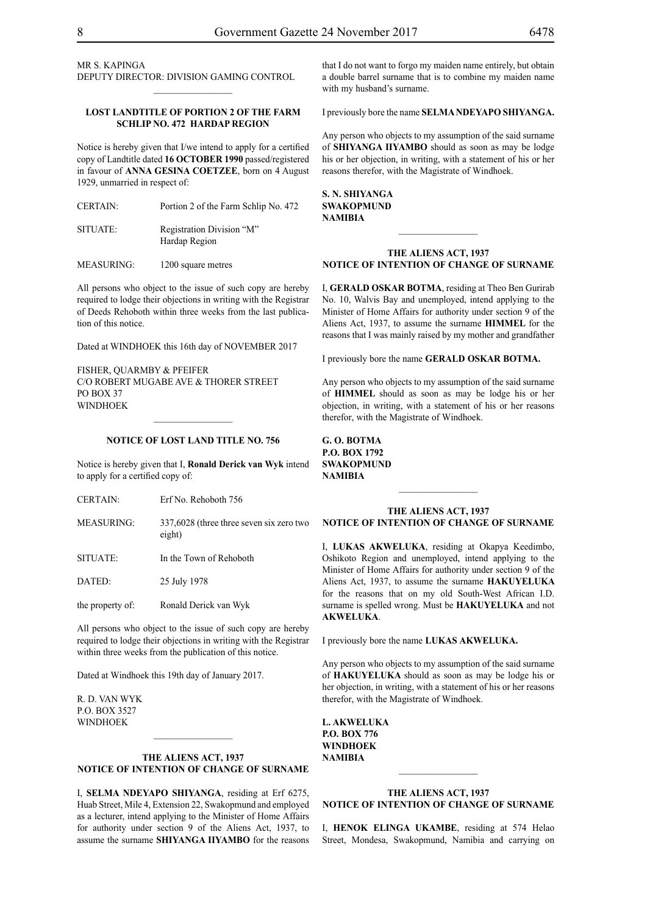MR S. KAPINGA Deputy Director: Division Gaming Control

#### **LOST LANDTITLE OF PORTION 2 OF THE FARM SCHLIP NO. 472 HARDAP REGION**

 $\frac{1}{2}$ 

Notice is hereby given that I/we intend to apply for a certified copy of Landtitle dated **16 OCTOBER 1990** passed/registered in favour of **ANNA GESINA COETZEE**, born on 4 August 1929, unmarried in respect of:

CERTAIN: Portion 2 of the Farm Schlip No. 472 SITUATE: Registration Division "M"

Hardap Region

MEASURING: 1200 square metres

All persons who object to the issue of such copy are hereby required to lodge their objections in writing with the Registrar of Deeds Rehoboth within three weeks from the last publication of this notice.

Dated at WINDHOEK this 16th day of NOVEMBER 2017

FISHER, QUARMBY & PFEIFER C/O Robert Mugabe Ave & Thorer Street PO BOX 37 WINDHOEK

#### **NOTICE OF LOST LAND TITLE NO. 756**

 $\frac{1}{2}$ 

Notice is hereby given that I, **Ronald Derick van Wyk** intend to apply for a certified copy of:

- CERTAIN: Erf No. Rehoboth 756
- MEASURING: 337,6028 (three three seven six zero two eight)
- SITUATE: In the Town of Rehoboth
- DATED: 25 July 1978

the property of: Ronald Derick van Wyk

All persons who object to the issue of such copy are hereby required to lodge their objections in writing with the Registrar within three weeks from the publication of this notice.

Dated at Windhoek this 19th day of January 2017.

R. D. van Wyk p.o. box 3527 **WINDHOEK** 

#### **THE ALIENS ACT, 1937 NOTICE OF INTENTION OF CHANGE OF SURNAME**

 $\frac{1}{2}$ 

I, **selma ndeyapo shiyanga**, residing at Erf 6275, Huab Street, Mile 4, Extension 22, Swakopmund and employed as a lecturer, intend applying to the Minister of Home Affairs for authority under section 9 of the Aliens Act, 1937, to assume the surname **shiyanga iiyambo** for the reasons that I do not want to forgo my maiden name entirely, but obtain a double barrel surname that is to combine my maiden name with my husband's surname.

I previously bore the name **selmandeyapo shiyanga.**

Any person who objects to my assumption of the said surname of **shiyanga iiyambo** should as soon as may be lodge his or her objection, in writing, with a statement of his or her reasons therefor, with the Magistrate of Windhoek.

**s. n. shiyanga swakOPMUND NAMIBIA**

#### **THE ALIENS ACT, 1937 NOTICE OF INTENTION OF CHANGE OF SURNAME**

I, **gerald oskar botma**, residing at Theo Ben Gurirab No. 10, Walvis Bay and unemployed, intend applying to the Minister of Home Affairs for authority under section 9 of the Aliens Act, 1937, to assume the surname **himmel** for the reasons that I was mainly raised by my mother and grandfather

I previously bore the name **gerald oskar botma.**

Any person who objects to my assumption of the said surname of **himmel** should as soon as may be lodge his or her objection, in writing, with a statement of his or her reasons therefor, with the Magistrate of Windhoek.

**g. o. botma P.o. box 1792 swakopmund NAMIBIA**

#### **THE ALIENS ACT, 1937 NOTICE OF INTENTION OF CHANGE OF SURNAME**

I, **lukas akweluka**, residing at Okapya Keedimbo, Oshikoto Region and unemployed, intend applying to the Minister of Home Affairs for authority under section 9 of the Aliens Act, 1937, to assume the surname **hakuyeluka** for the reasons that on my old South-West African I.D. surname is spelled wrong. Must be **HAKUYELUKA** and not **AKWELUKA**.

I previously bore the name **lukas akweluka.**

Any person who objects to my assumption of the said surname of **HAKUYELUKA** should as soon as may be lodge his or her objection, in writing, with a statement of his or her reasons therefor, with the Magistrate of Windhoek.

**l. akweluka p.o. box 776 windhoek NAMIBIA**

#### **THE ALIENS ACT, 1937 NOTICE OF INTENTION OF CHANGE OF SURNAME**

 $\frac{1}{2}$ 

I, **henok elinga ukambe**, residing at 574 Helao Street, Mondesa, Swakopmund, Namibia and carrying on